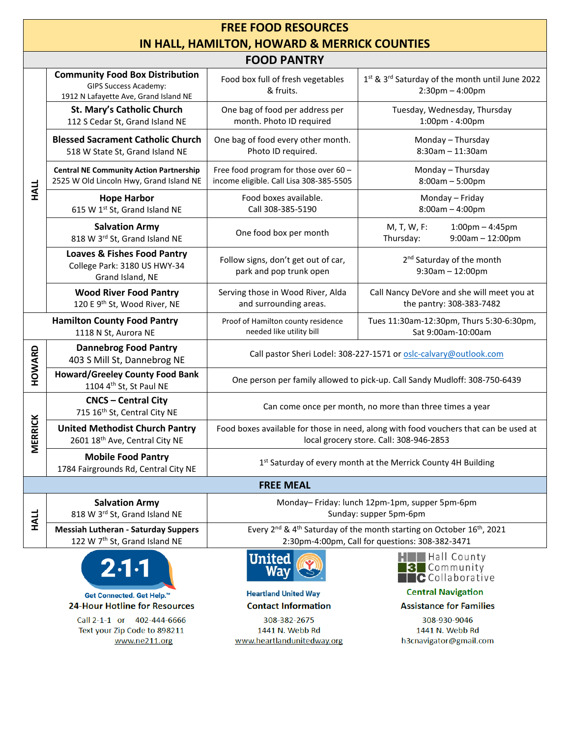| <b>FREE FOOD RESOURCES</b>                   |                                                                                                                 |                                                                                                                                                              |                                                                          |  |  |  |
|----------------------------------------------|-----------------------------------------------------------------------------------------------------------------|--------------------------------------------------------------------------------------------------------------------------------------------------------------|--------------------------------------------------------------------------|--|--|--|
| IN HALL, HAMILTON, HOWARD & MERRICK COUNTIES |                                                                                                                 |                                                                                                                                                              |                                                                          |  |  |  |
| <b>FOOD PANTRY</b>                           |                                                                                                                 |                                                                                                                                                              |                                                                          |  |  |  |
| <b>HALL</b>                                  | <b>Community Food Box Distribution</b><br><b>GIPS Success Academy:</b><br>1912 N Lafayette Ave, Grand Island NE | Food box full of fresh vegetables<br>& fruits.                                                                                                               | 1st & 3rd Saturday of the month until June 2022<br>$2:30$ pm $-4:00$ pm  |  |  |  |
|                                              | St. Mary's Catholic Church<br>112 S Cedar St, Grand Island NE                                                   | One bag of food per address per<br>month. Photo ID required                                                                                                  | Tuesday, Wednesday, Thursday<br>1:00pm - 4:00pm                          |  |  |  |
|                                              | <b>Blessed Sacrament Catholic Church</b><br>518 W State St, Grand Island NE                                     | One bag of food every other month.<br>Photo ID required.                                                                                                     | Monday - Thursday<br>8:30am - 11:30am                                    |  |  |  |
|                                              | <b>Central NE Community Action Partnership</b><br>2525 W Old Lincoln Hwy, Grand Island NE                       | Free food program for those over 60 -<br>income eligible. Call Lisa 308-385-5505                                                                             | Monday - Thursday<br>$8:00am - 5:00pm$                                   |  |  |  |
|                                              | <b>Hope Harbor</b><br>615 W 1st St, Grand Island NE                                                             | Food boxes available.<br>Call 308-385-5190                                                                                                                   | Monday - Friday<br>$8:00am - 4:00pm$                                     |  |  |  |
|                                              | <b>Salvation Army</b><br>818 W 3rd St, Grand Island NE                                                          | One food box per month                                                                                                                                       | M, T, W, F:<br>$1:00$ pm $-4:45$ pm<br>Thursday:<br>$9:00am - 12:00pm$   |  |  |  |
|                                              | <b>Loaves &amp; Fishes Food Pantry</b><br>College Park: 3180 US HWY-34<br>Grand Island, NE                      | Follow signs, don't get out of car,<br>park and pop trunk open                                                                                               | 2 <sup>nd</sup> Saturday of the month<br>$9:30am - 12:00pm$              |  |  |  |
|                                              | <b>Wood River Food Pantry</b><br>120 E 9th St, Wood River, NE                                                   | Serving those in Wood River, Alda<br>and surrounding areas.                                                                                                  | Call Nancy DeVore and she will meet you at<br>the pantry: 308-383-7482   |  |  |  |
|                                              | <b>Hamilton County Food Pantry</b><br>1118 N St, Aurora NE                                                      | Proof of Hamilton county residence<br>needed like utility bill                                                                                               | Tues 11:30am-12:30pm, Thurs 5:30-6:30pm,<br>Sat 9:00am-10:00am           |  |  |  |
| HOWARD                                       | <b>Dannebrog Food Pantry</b><br>403 S Mill St, Dannebrog NE                                                     | Call pastor Sheri Lodel: 308-227-1571 or oslc-calvary@outlook.com                                                                                            |                                                                          |  |  |  |
|                                              | <b>Howard/Greeley County Food Bank</b><br>1104 4th St, St Paul NE                                               | One person per family allowed to pick-up. Call Sandy Mudloff: 308-750-6439                                                                                   |                                                                          |  |  |  |
| <b>RICK</b><br>MER                           | <b>CNCS - Central City</b><br>715 16th St, Central City NE                                                      | Can come once per month, no more than three times a year                                                                                                     |                                                                          |  |  |  |
|                                              | <b>United Methodist Church Pantry</b><br>2601 18 <sup>th</sup> Ave, Central City NE                             | Food boxes available for those in need, along with food vouchers that can be used at<br>local grocery store. Call: 308-946-2853                              |                                                                          |  |  |  |
|                                              | <b>Mobile Food Pantry</b><br>1784 Fairgrounds Rd, Central City NE                                               | 1st Saturday of every month at the Merrick County 4H Building                                                                                                |                                                                          |  |  |  |
|                                              |                                                                                                                 | <b>FREE MEAL</b>                                                                                                                                             |                                                                          |  |  |  |
| <b>HALL</b>                                  | <b>Salvation Army</b><br>818 W 3rd St, Grand Island NE                                                          | Monday-Friday: lunch 12pm-1pm, supper 5pm-6pm<br>Sunday: supper 5pm-6pm                                                                                      |                                                                          |  |  |  |
|                                              | <b>Messiah Lutheran - Saturday Suppers</b><br>122 W 7 <sup>th</sup> St, Grand Island NE                         | Every 2 <sup>nd</sup> & 4 <sup>th</sup> Saturday of the month starting on October 16 <sup>th</sup> , 2021<br>2:30pm-4:00pm, Call for questions: 308-382-3471 |                                                                          |  |  |  |
|                                              | $2.1 - 1$                                                                                                       | <b>United</b><br>Wav                                                                                                                                         | <b>HILL</b> Hall County<br>3 Community<br>$\blacksquare$ C Collaborative |  |  |  |
|                                              | Get Connected. Get Help.™                                                                                       | <b>Heartland United Way</b>                                                                                                                                  | <b>Central Navigation</b>                                                |  |  |  |
|                                              | <b>24-Hour Hotline for Resources</b>                                                                            | <b>Contact Information</b>                                                                                                                                   | <b>Assistance for Families</b>                                           |  |  |  |
|                                              | Call 2-1-1 or 402-444-6666                                                                                      | 308-382-2675                                                                                                                                                 | 308-930-9046                                                             |  |  |  |

Text your Zip Code to 898211 www.ne211.org

1441 N. Webb Rd www.heartlandunitedway.org

1441 N. Webb Rd h3cnavigator@gmail.com